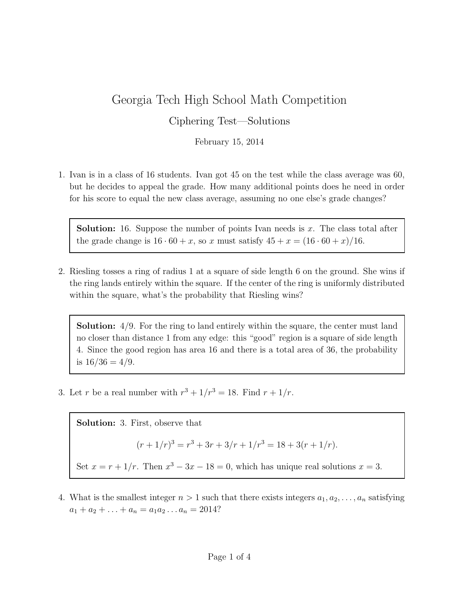## Georgia Tech High School Math Competition

## Ciphering Test—Solutions

February 15, 2014

1. Ivan is in a class of 16 students. Ivan got 45 on the test while the class average was 60, but he decides to appeal the grade. How many additional points does he need in order for his score to equal the new class average, assuming no one else's grade changes?

**Solution:** 16. Suppose the number of points Ivan needs is  $x$ . The class total after the grade change is  $16 \cdot 60 + x$ , so x must satisfy  $45 + x = (16 \cdot 60 + x)/16$ .

2. Riesling tosses a ring of radius 1 at a square of side length 6 on the ground. She wins if the ring lands entirely within the square. If the center of the ring is uniformly distributed within the square, what's the probability that Riesling wins?

Solution: 4/9. For the ring to land entirely within the square, the center must land no closer than distance 1 from any edge: this "good" region is a square of side length 4. Since the good region has area 16 and there is a total area of 36, the probability is  $16/36 = 4/9$ .

3. Let r be a real number with  $r^3 + 1/r^3 = 18$ . Find  $r + 1/r$ .

Solution: 3. First, observe that  $(r+1/r)^3 = r^3 + 3r + 3/r + 1/r^3 = 18 + 3(r+1/r).$ Set  $x = r + 1/r$ . Then  $x^3 - 3x - 18 = 0$ , which has unique real solutions  $x = 3$ .

4. What is the smallest integer  $n > 1$  such that there exists integers  $a_1, a_2, \ldots, a_n$  satisfying  $a_1 + a_2 + \ldots + a_n = a_1 a_2 \ldots a_n = 2014?$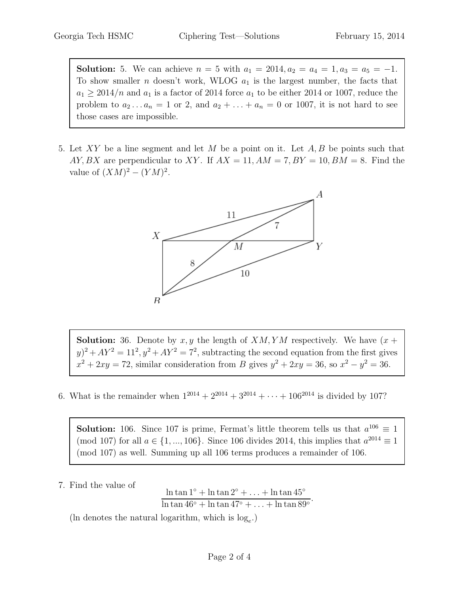**Solution:** 5. We can achieve  $n = 5$  with  $a_1 = 2014, a_2 = a_4 = 1, a_3 = a_5 = -1$ . To show smaller *n* doesn't work, WLOG  $a_1$  is the largest number, the facts that  $a_1 \geq 2014/n$  and  $a_1$  is a factor of 2014 force  $a_1$  to be either 2014 or 1007, reduce the problem to  $a_2 \ldots a_n = 1$  or 2, and  $a_2 + \ldots + a_n = 0$  or 1007, it is not hard to see those cases are impossible.

5. Let XY be a line segment and let  $M$  be a point on it. Let  $A, B$  be points such that AY, BX are perpendicular to XY. If  $AX = 11$ ,  $AM = 7$ ,  $BY = 10$ ,  $BM = 8$ . Find the value of  $(XM)^2 - (YM)^2$ .



**Solution:** 36. Denote by  $x, y$  the length of  $XM, YM$  respectively. We have  $(x +$  $(y)^2 + AY^2 = 11^2$ ,  $y^2 + AY^2 = 7^2$ , subtracting the second equation from the first gives  $x^2 + 2xy = 72$ , similar consideration from B gives  $y^2 + 2xy = 36$ , so  $x^2 - y^2 = 36$ .

6. What is the remainder when  $1^{2014} + 2^{2014} + 3^{2014} + \cdots + 106^{2014}$  is divided by 107?

**Solution:** 106. Since 107 is prime, Fermat's little theorem tells us that  $a^{106} \equiv 1$ (mod 107) for all  $a \in \{1, ..., 106\}$ . Since 106 divides 2014, this implies that  $a^{2014} \equiv 1$ (mod 107) as well. Summing up all 106 terms produces a remainder of 106.

7. Find the value of

ln tan  $1° + \ln \tan 2° + \ldots + \ln \tan 45°$  $\frac{\ln \tan 1 + \ln \tan 2 + \ldots + \ln \tan 15}{\ln \tan 46^\circ + \ln \tan 47^\circ + \ldots + \ln \tan 89^\circ}.$ 

(In denotes the natural logarithm, which is  $log_e$ .)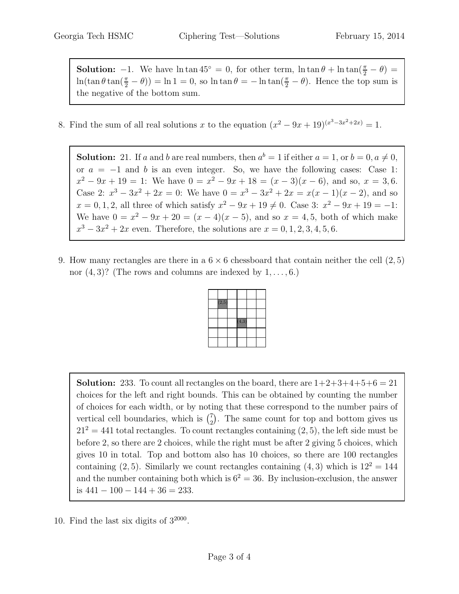**Solution:**  $-1$ . We have  $\ln \tan 45^\circ = 0$ , for other term,  $\ln \tan \theta + \ln \tan(\frac{\pi}{2} - \theta) =$  $\ln(\tan\theta\tan(\frac{\pi}{2}-\theta)) = \ln 1 = 0$ , so  $\ln \tan \theta = -\ln \tan(\frac{\pi}{2}-\theta)$ . Hence the top sum is the negative of the bottom sum.

8. Find the sum of all real solutions x to the equation  $(x^2 - 9x + 19)^{(x^3 - 3x^2 + 2x)} = 1$ .

**Solution:** 21. If a and b are real numbers, then  $a^b = 1$  if either  $a = 1$ , or  $b = 0, a \neq 0$ , or  $a = -1$  and b is an even integer. So, we have the following cases: Case 1:  $x^2 - 9x + 19 = 1$ : We have  $0 = x^2 - 9x + 18 = (x - 3)(x - 6)$ , and so,  $x = 3, 6$ . Case 2:  $x^3 - 3x^2 + 2x = 0$ : We have  $0 = x^3 - 3x^2 + 2x = x(x - 1)(x - 2)$ , and so  $x = 0, 1, 2$ , all three of which satisfy  $x^2 - 9x + 19 \neq 0$ . Case 3:  $x^2 - 9x + 19 = -1$ : We have  $0 = x^2 - 9x + 20 = (x - 4)(x - 5)$ , and so  $x = 4, 5$ , both of which make  $x^3 - 3x^2 + 2x$  even. Therefore, the solutions are  $x = 0, 1, 2, 3, 4, 5, 6$ .

9. How many rectangles are there in a  $6 \times 6$  chessboard that contain neither the cell  $(2,5)$ nor  $(4, 3)$ ? (The rows and columns are indexed by  $1, \ldots, 6$ .)



**Solution:** 233. To count all rectangles on the board, there are  $1+2+3+4+5+6=21$ choices for the left and right bounds. This can be obtained by counting the number of choices for each width, or by noting that these correspond to the number pairs of vertical cell boundaries, which is  $\binom{7}{2}$  $_{2}^{7}$ ). The same count for top and bottom gives us  $21<sup>2</sup> = 441$  total rectangles. To count rectangles containing  $(2, 5)$ , the left side must be before 2, so there are 2 choices, while the right must be after 2 giving 5 choices, which gives 10 in total. Top and bottom also has 10 choices, so there are 100 rectangles containing  $(2, 5)$ . Similarly we count rectangles containing  $(4, 3)$  which is  $12^2 = 144$ and the number containing both which is  $6^2 = 36$ . By inclusion-exclusion, the answer is  $441 - 100 - 144 + 36 = 233$ .

10. Find the last six digits of  $3^{2000}$ .